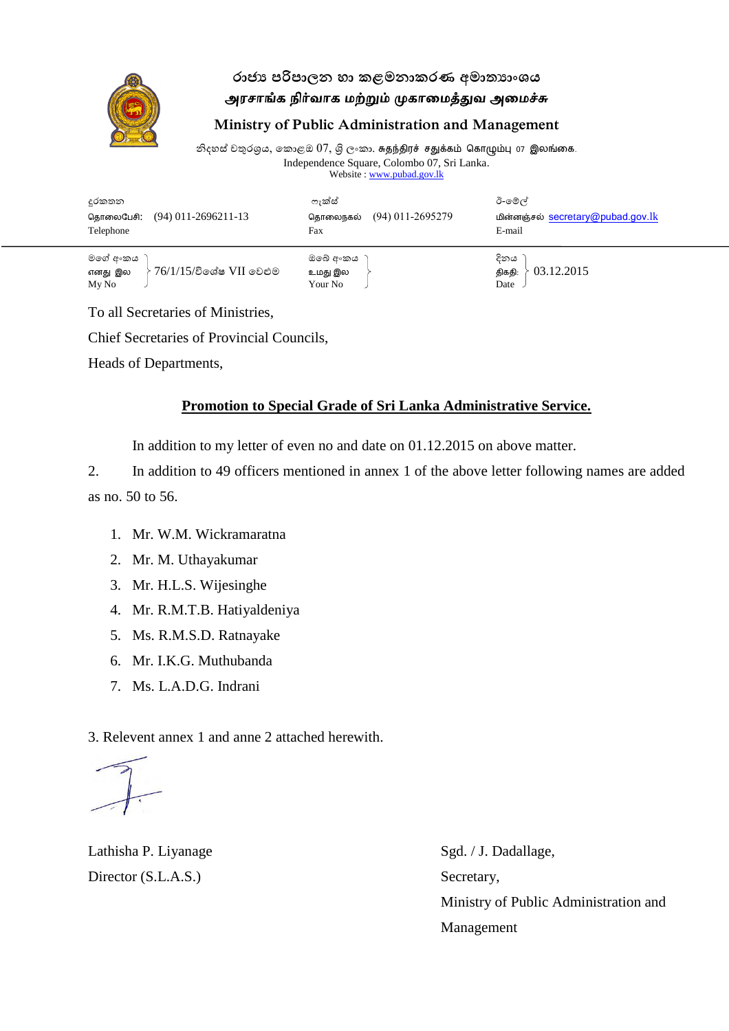

## **රාජ්ය පරිපරා පාා පළමන ාළර පමනා්යාාංශය** அரசாங்க நிர்வாக மற்றும் முகாமைத்துவ அமைச்சு

#### **Ministry of Public Administration and Management**

නිදහස් චතුරශුය, කොළඔ  $07$ , ශි $\,$  ලංකා. சுதந்திரச் சதுக்கம் கொழும்பு  $\,$  07 இலங்கை. Independence Square, Colombo 07, Sri Lanka. Website : www.pubad.gov.lk

| දුරකතන<br>$(94)$ 011-2696211-13<br>கொலைபேசி:<br>Telephone         | ෆැක්ස්<br>$(94)$ 011-2695279<br>கொலைநகல்<br>Fax | ඊ-මේල්<br>மின்னஞ்சல் secretary@pubad.gov.lk<br>E-mail |
|-------------------------------------------------------------------|-------------------------------------------------|-------------------------------------------------------|
| මගේ අංකය<br>$-76/1/15$ /විශේෂ $\rm VII$ වෙළුම<br>எனது இல<br>My No | ඔබේ අංකය<br>உமது இல<br>Your No                  | දිනය<br>03.12.2015<br>திகதி:<br>Date                  |

To all Secretaries of Ministries,

Chief Secretaries of Provincial Councils,

Heads of Departments,

### **Promotion to Special Grade of Sri Lanka Administrative Service.**

In addition to my letter of even no and date on 01.12.2015 on above matter.

2. In addition to 49 officers mentioned in annex 1 of the above letter following names are added as no. 50 to 56.

- 1. Mr. W.M. Wickramaratna
- 2. Mr. M. Uthayakumar
- 3. Mr. H.L.S. Wijesinghe
- 4. Mr. R.M.T.B. Hatiyaldeniya
- 5. Ms. R.M.S.D. Ratnayake
- 6. Mr. I.K.G. Muthubanda
- 7. Ms. L.A.D.G. Indrani

3. Relevent annex 1 and anne 2 attached herewith.

Lathisha P. Liyanage Sgd. / J. Dadallage, Director (S.L.A.S.) Secretary,

Ministry of Public Administration and Management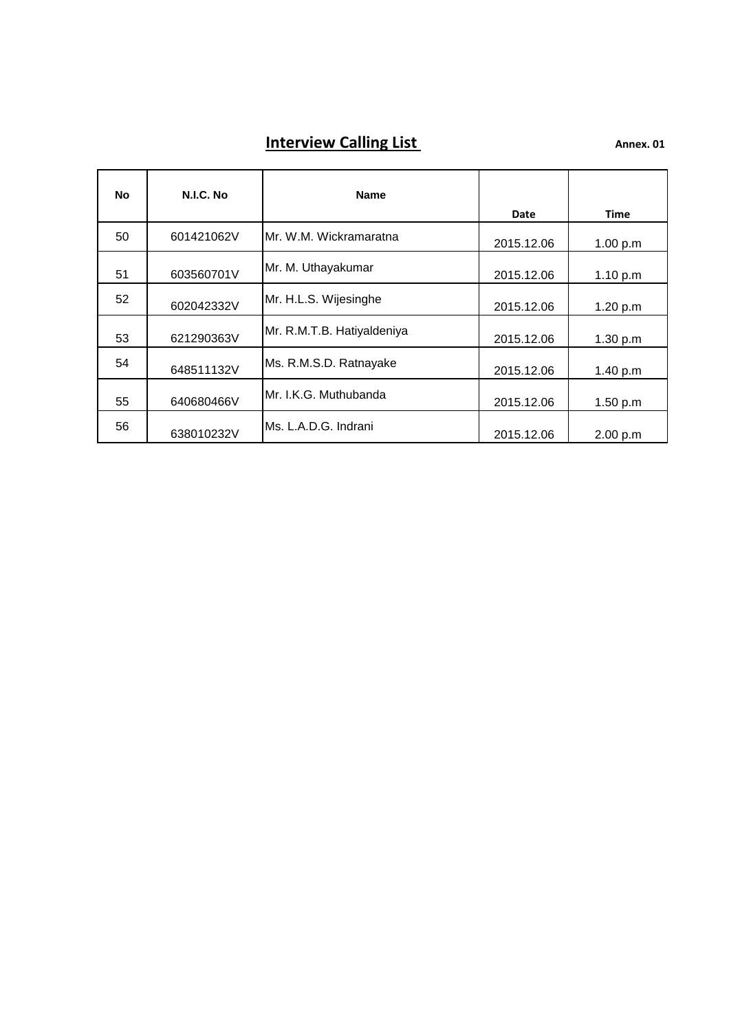# **Interview Calling List Annex. 01**

| No | N.I.C. No  | <b>Name</b>                | Date       | <b>Time</b> |
|----|------------|----------------------------|------------|-------------|
| 50 | 601421062V | Mr. W.M. Wickramaratna     | 2015.12.06 | 1.00 p.m    |
| 51 | 603560701V | Mr. M. Uthayakumar         | 2015.12.06 | 1.10 p.m    |
| 52 | 602042332V | Mr. H.L.S. Wijesinghe      | 2015.12.06 | 1.20 p.m    |
| 53 | 621290363V | Mr. R.M.T.B. Hatiyaldeniya | 2015.12.06 | 1.30 p.m    |
| 54 | 648511132V | Ms. R.M.S.D. Ratnayake     | 2015.12.06 | 1.40 p.m    |
| 55 | 640680466V | Mr. I.K.G. Muthubanda      | 2015.12.06 | 1.50 p.m    |
| 56 | 638010232V | Ms. L.A.D.G. Indrani       | 2015.12.06 | 2.00 p.m    |